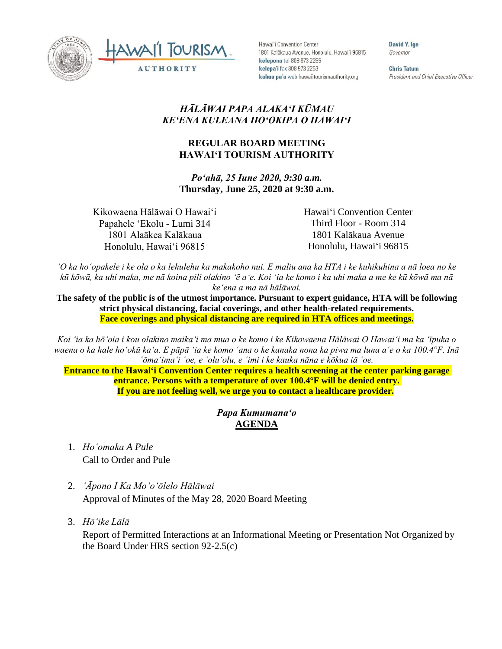



Hawai'i Convention Center 1801 Kalākaua Avenue, Honolulu, Hawai'i 96815 kelepona tel 808 973 2255 kelepa'i fax 808 973 2253 kahua pa'a web hawaiitourismauthority.org

David Y. Ige Governor

**Chris Tatum** President and Chief Executive Officer

## *HĀLĀWAI PAPA ALAKAʻI KŪMAU KEʻENA KULEANA HOʻOKIPA O HAWAIʻI*

## **REGULAR BOARD MEETING HAWAI'I TOURISM AUTHORITY**

*Poʻahā, 25 Iune 2020, 9:30 a.m.* **Thursday, June 25, 2020 at 9:30 a.m.**

Kikowaena Hālāwai O Hawaiʻi Papahele ʻEkolu - Lumi 314 1801 Alaākea Kalākaua Honolulu, Hawaiʻi 96815

Hawaiʻi Convention Center Third Floor - Room 314 1801 Kalākaua Avenue Honolulu, Hawaiʻi 96815

*ʻO ka hoʻopakele i ke ola o ka lehulehu ka makakoho nui. E maliu ana ka HTA i ke kuhikuhina a nā loea no ke kū kōwā, ka uhi maka, me nā koina pili olakino ʻē aʻe. Koi ʻia ke komo i ka uhi maka a me ke kū kōwā ma nā keʻena a ma nā hālāwai.*

The safety of the public is of the utmost importance. Pursuant to expert guidance, HTA will be following **strict physical distancing, facial coverings, and other health-related requirements. Face coverings and physical distancing are required in HTA offices and meetings.**

*Koi ʻia ka hōʻoia i kou olakino maikaʻi ma mua o ke komo i ke Kikowaena Hālāwai O Hawaiʻi ma ka ʻīpuka o waena o ka hale hoʻokū kaʻa. E pāpā ʻia ke komo ʻana o ke kanaka nona ka piwa ma luna aʻe o ka 100.4°F. Inā ʻōmaʻimaʻi ʻoe, e ʻoluʻolu, e ʻimi i ke kauka nāna e kōkua iā ʻoe.* 

**Entrance to the Hawaiʻi Convention Center requires a health screening at the center parking garage entrance. Persons with a temperature of over 100.4°F will be denied entry. If you are not feeling well, we urge you to contact a healthcare provider.**

## *Papa Kumumanaʻo* **AGENDA**

- 1. *Ho'omaka A Pule* Call to Order and Pule
- 2. *ʻĀpono I Ka Moʻoʻōlelo Hālāwai* Approval of Minutes of the May 28, 2020 Board Meeting
- 3. *Hō'ike Lālā*

Report of Permitted Interactions at an Informational Meeting or Presentation Not Organized by the Board Under HRS section 92-2.5(c)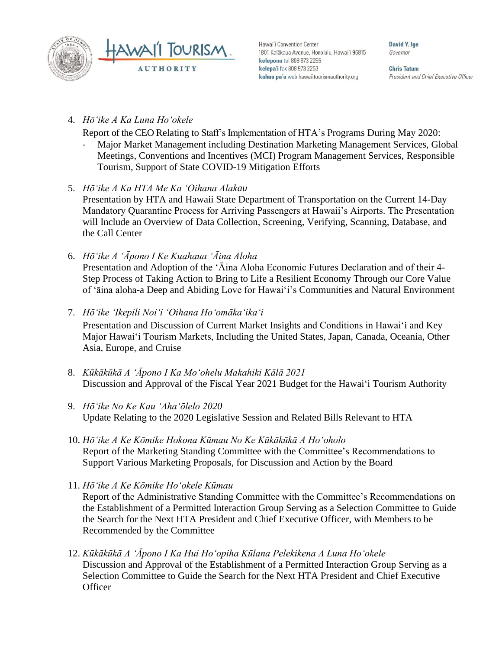



Hawai'i Convention Center 1801 Kalākaua Avenue, Honolulu, Hawai'i 96815 kelepona tel 808 973 2255 kelepa'i fax 808 973 2253 kahua pa'a web hawaiitourismauthority.org

David Y. lge Governor

**Chris Tatum** President and Chief Executive Officer

4. *Hōʻike A Ka Luna Hoʻokele*

Report of the CEO Relating to Staff's Implementation of HTA's Programs During May 2020:

- Major Market Management including Destination Marketing Management Services, Global Meetings, Conventions and Incentives (MCI) Program Management Services, Responsible Tourism, Support of State COVID-19 Mitigation Efforts
- 5. *Hōʻike A Ka HTA Me Ka ʻOihana Alakau* Presentation by HTA and Hawaii State Department of Transportation on the Current 14-Day Mandatory Quarantine Process for Arriving Passengers at Hawaii's Airports. The Presentation will Include an Overview of Data Collection, Screening, Verifying, Scanning, Database, and the Call Center
- 6. *Hōʻike A ʻĀpono I Ke Kuahaua ʻĀina Aloha* Presentation and Adoption of the ʻĀina Aloha Economic Futures Declaration and of their 4- Step Process of Taking Action to Bring to Life a Resilient Economy Through our Core Value of ʻāina aloha-a Deep and Abiding Love for Hawaiʻi's Communities and Natural Environment
- 7. *Hōʻike ʻIkepili Noiʻi ʻOihana Hoʻomākaʻikaʻi* Presentation and Discussion of Current Market Insights and Conditions in Hawai'i and Key Major Hawai'i Tourism Markets, Including the United States, Japan, Canada, Oceania, Other Asia, Europe, and Cruise
- 8. *Kūkākūkā A ʻĀpono I Ka Moʻohelu Makahiki Kālā 2021* Discussion and Approval of the Fiscal Year 2021 Budget for the Hawaiʻi Tourism Authority
- 9. *Hōʻike No Ke Kau ʻAhaʻōlelo 2020* Update Relating to the 2020 Legislative Session and Related Bills Relevant to HTA
- 10. *Hōʻike A Ke Kōmike Hokona Kūmau No Ke Kūkākūkā A Hoʻoholo* Report of the Marketing Standing Committee with the Committee's Recommendations to Support Various Marketing Proposals, for Discussion and Action by the Board
- 11. *Hōʻike A Ke Kōmike Hoʻokele Kūmau* Report of the Administrative Standing Committee with the Committee's Recommendations on the Establishment of a Permitted Interaction Group Serving as a Selection Committee to Guide the Search for the Next HTA President and Chief Executive Officer, with Members to be Recommended by the Committee
- 12. *Kūkākūkā A ʻĀpono I Ka Hui Hoʻopiha Kūlana Pelekikena A Luna Hoʻokele* Discussion and Approval of the Establishment of a Permitted Interaction Group Serving as a Selection Committee to Guide the Search for the Next HTA President and Chief Executive **Officer**